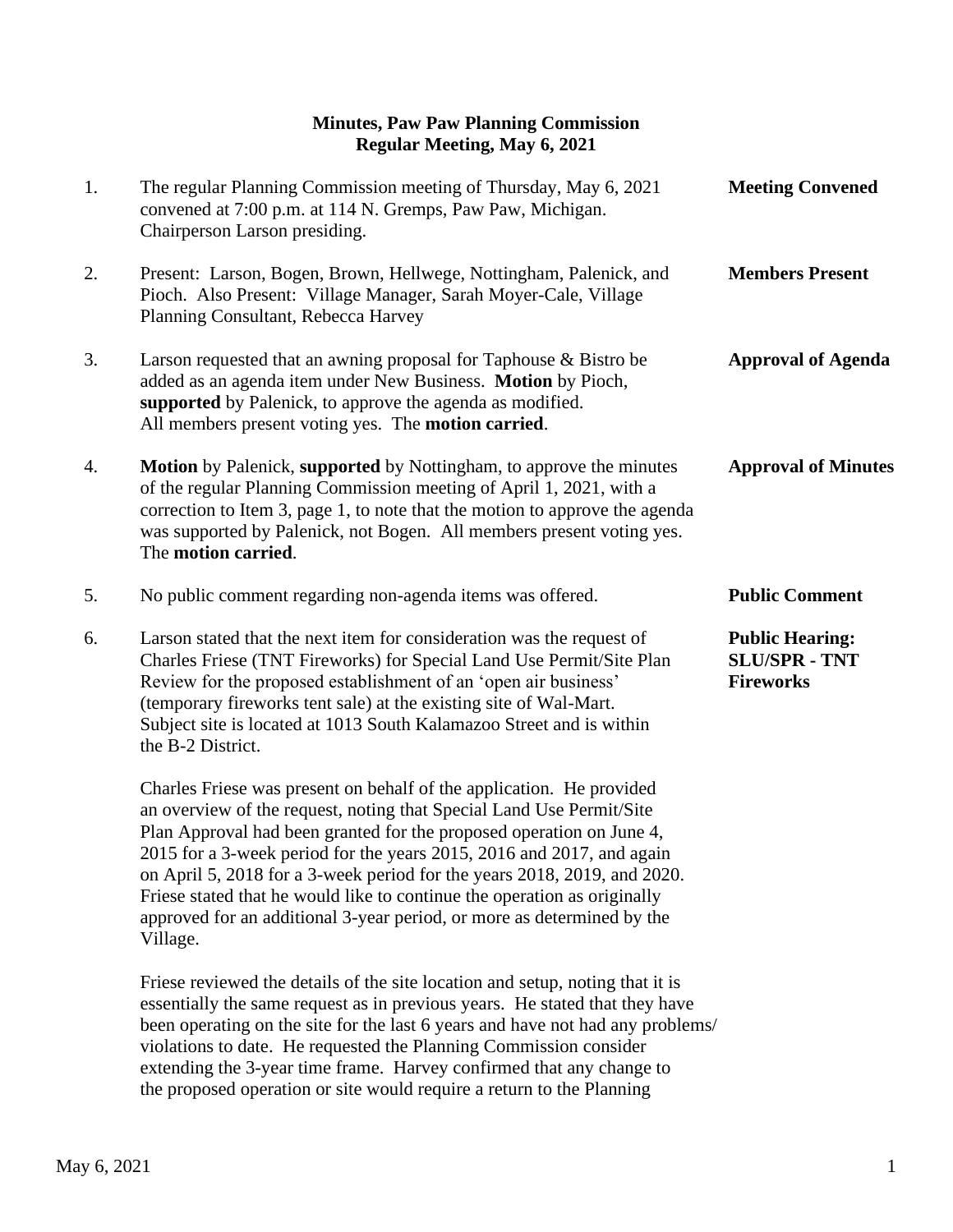## **Minutes, Paw Paw Planning Commission Regular Meeting, May 6, 2021**

| 1. | The regular Planning Commission meeting of Thursday, May 6, 2021<br>convened at 7:00 p.m. at 114 N. Gremps, Paw Paw, Michigan.<br>Chairperson Larson presiding.                                                                                                                                                                                                                                                                                                                                                                             | <b>Meeting Convened</b>                                            |
|----|---------------------------------------------------------------------------------------------------------------------------------------------------------------------------------------------------------------------------------------------------------------------------------------------------------------------------------------------------------------------------------------------------------------------------------------------------------------------------------------------------------------------------------------------|--------------------------------------------------------------------|
| 2. | Present: Larson, Bogen, Brown, Hellwege, Nottingham, Palenick, and<br>Pioch. Also Present: Village Manager, Sarah Moyer-Cale, Village<br>Planning Consultant, Rebecca Harvey                                                                                                                                                                                                                                                                                                                                                                | <b>Members Present</b>                                             |
| 3. | Larson requested that an awning proposal for Taphouse & Bistro be<br>added as an agenda item under New Business. Motion by Pioch,<br>supported by Palenick, to approve the agenda as modified.<br>All members present voting yes. The <b>motion carried</b> .                                                                                                                                                                                                                                                                               | <b>Approval of Agenda</b>                                          |
| 4. | Motion by Palenick, supported by Nottingham, to approve the minutes<br>of the regular Planning Commission meeting of April 1, 2021, with a<br>correction to Item 3, page 1, to note that the motion to approve the agenda<br>was supported by Palenick, not Bogen. All members present voting yes.<br>The motion carried.                                                                                                                                                                                                                   | <b>Approval of Minutes</b>                                         |
| 5. | No public comment regarding non-agenda items was offered.                                                                                                                                                                                                                                                                                                                                                                                                                                                                                   | <b>Public Comment</b>                                              |
| 6. | Larson stated that the next item for consideration was the request of<br>Charles Friese (TNT Fireworks) for Special Land Use Permit/Site Plan<br>Review for the proposed establishment of an 'open air business'<br>(temporary fireworks tent sale) at the existing site of Wal-Mart.<br>Subject site is located at 1013 South Kalamazoo Street and is within<br>the B-2 District.                                                                                                                                                          | <b>Public Hearing:</b><br><b>SLU/SPR - TNT</b><br><b>Fireworks</b> |
|    | Charles Friese was present on behalf of the application. He provided<br>an overview of the request, noting that Special Land Use Permit/Site<br>Plan Approval had been granted for the proposed operation on June 4,<br>2015 for a 3-week period for the years 2015, 2016 and 2017, and again<br>on April 5, 2018 for a 3-week period for the years 2018, 2019, and 2020.<br>Friese stated that he would like to continue the operation as originally<br>approved for an additional 3-year period, or more as determined by the<br>Village. |                                                                    |
|    | Friese reviewed the details of the site location and setup, noting that it is<br>essentially the same request as in previous years. He stated that they have<br>been operating on the site for the last 6 years and have not had any problems/<br>violations to date. He requested the Planning Commission consider                                                                                                                                                                                                                         |                                                                    |

extending the 3-year time frame. Harvey confirmed that any change to the proposed operation or site would require a return to the Planning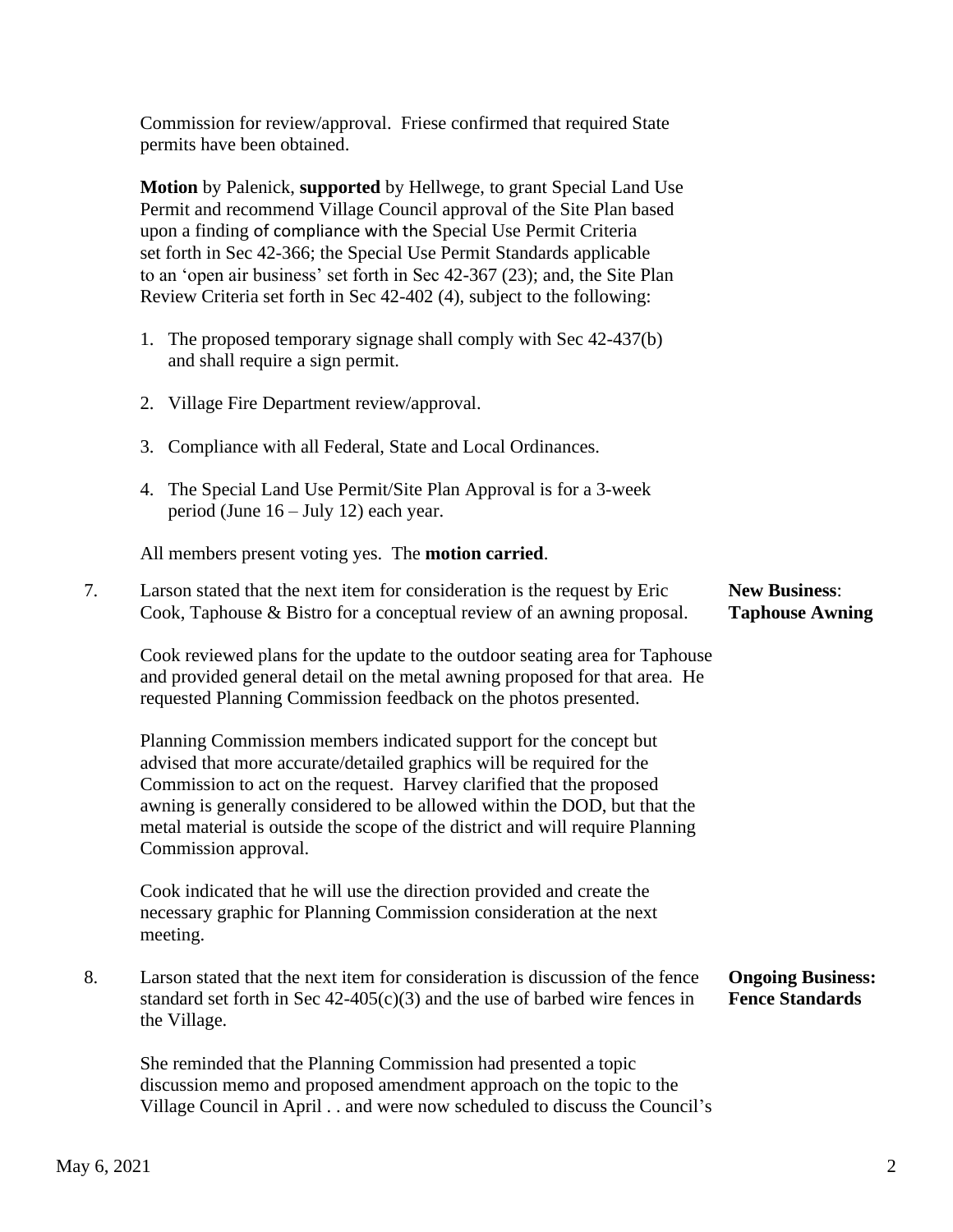Commission for review/approval. Friese confirmed that required State permits have been obtained.

 **Motion** by Palenick, **supported** by Hellwege, to grant Special Land Use Permit and recommend Village Council approval of the Site Plan based upon a finding of compliance with the Special Use Permit Criteria set forth in Sec 42-366; the Special Use Permit Standards applicable to an 'open air business' set forth in Sec 42-367 (23); and, the Site Plan Review Criteria set forth in Sec 42-402 (4), subject to the following:

- 1. The proposed temporary signage shall comply with Sec 42-437(b) and shall require a sign permit.
- 2. Village Fire Department review/approval.
- 3. Compliance with all Federal, State and Local Ordinances.
- 4. The Special Land Use Permit/Site Plan Approval is for a 3-week period (June 16 – July 12) each year.

All members present voting yes. The **motion carried**.

| 7. | Larson stated that the next item for consideration is the request by Eric<br>Cook, Taphouse & Bistro for a conceptual review of an awning proposal.                                                                                                                                                                                                                                                      | <b>New Business:</b><br><b>Taphouse Awning</b>     |
|----|----------------------------------------------------------------------------------------------------------------------------------------------------------------------------------------------------------------------------------------------------------------------------------------------------------------------------------------------------------------------------------------------------------|----------------------------------------------------|
|    | Cook reviewed plans for the update to the outdoor seating area for Taphouse<br>and provided general detail on the metal awning proposed for that area. He<br>requested Planning Commission feedback on the photos presented.                                                                                                                                                                             |                                                    |
|    | Planning Commission members indicated support for the concept but<br>advised that more accurate/detailed graphics will be required for the<br>Commission to act on the request. Harvey clarified that the proposed<br>awning is generally considered to be allowed within the DOD, but that the<br>metal material is outside the scope of the district and will require Planning<br>Commission approval. |                                                    |
|    | Cook indicated that he will use the direction provided and create the<br>necessary graphic for Planning Commission consideration at the next<br>meeting.                                                                                                                                                                                                                                                 |                                                    |
| 8. | Larson stated that the next item for consideration is discussion of the fence<br>standard set forth in Sec $42-405(c)(3)$ and the use of barbed wire fences in<br>the Village.                                                                                                                                                                                                                           | <b>Ongoing Business:</b><br><b>Fence Standards</b> |
|    | She reminded that the Planning Commission had presented a topic<br>discussion memo and proposed amendment approach on the topic to the<br>Village Council in April and were now scheduled to discuss the Council's                                                                                                                                                                                       |                                                    |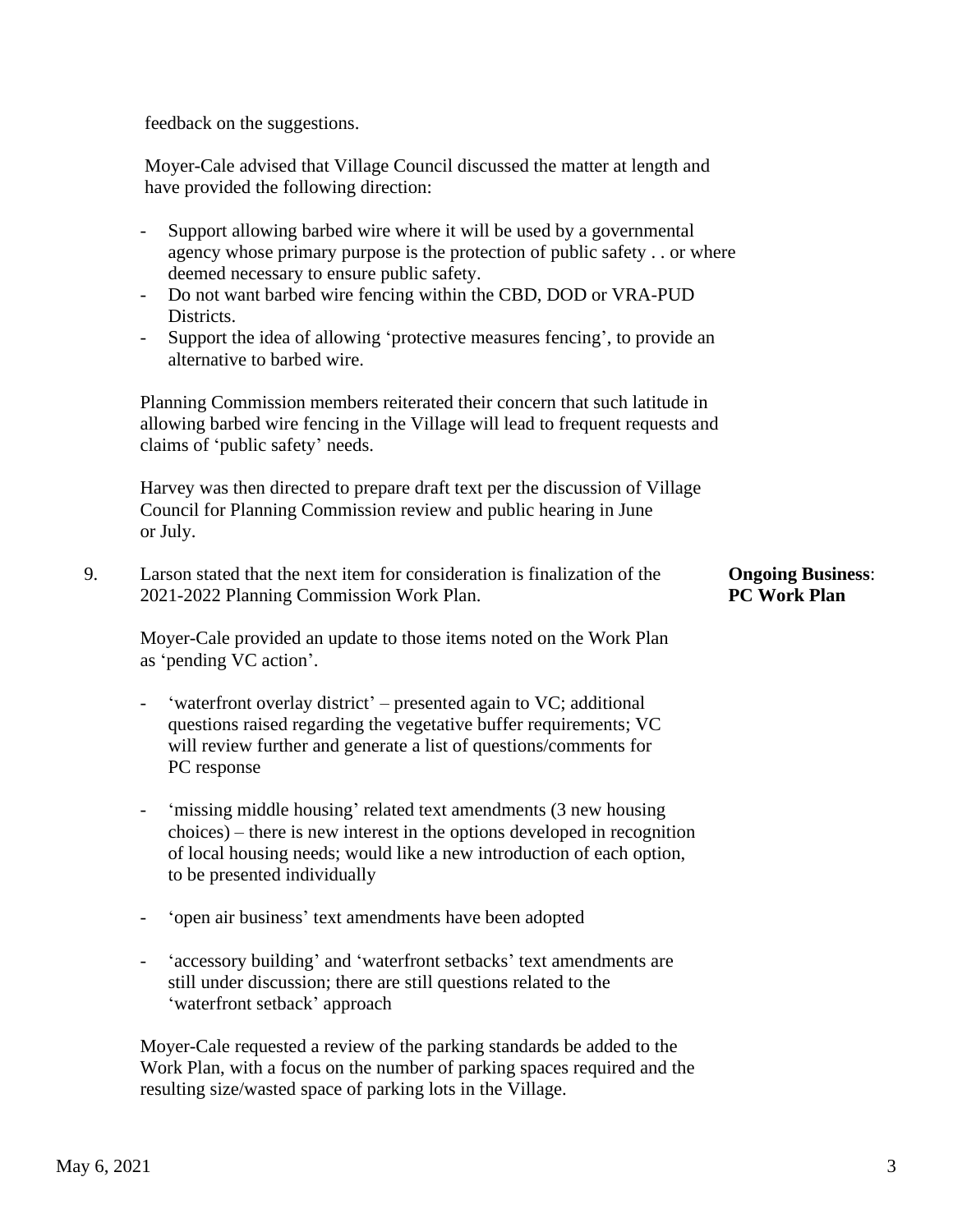feedback on the suggestions.

 Moyer-Cale advised that Village Council discussed the matter at length and have provided the following direction:

- Support allowing barbed wire where it will be used by a governmental agency whose primary purpose is the protection of public safety . . or where deemed necessary to ensure public safety.
- Do not want barbed wire fencing within the CBD, DOD or VRA-PUD Districts.
- Support the idea of allowing 'protective measures fencing', to provide an alternative to barbed wire.

Planning Commission members reiterated their concern that such latitude in allowing barbed wire fencing in the Village will lead to frequent requests and claims of 'public safety' needs.

Harvey was then directed to prepare draft text per the discussion of Village Council for Planning Commission review and public hearing in June or July.

9. Larson stated that the next item for consideration is finalization of the **Ongoing Business**: 2021-2022 Planning Commission Work Plan. **PC Work Plan**

 Moyer-Cale provided an update to those items noted on the Work Plan as 'pending VC action'.

- 'waterfront overlay district' presented again to VC; additional questions raised regarding the vegetative buffer requirements; VC will review further and generate a list of questions/comments for PC response
- 'missing middle housing' related text amendments (3 new housing choices) – there is new interest in the options developed in recognition of local housing needs; would like a new introduction of each option, to be presented individually
- 'open air business' text amendments have been adopted
- 'accessory building' and 'waterfront setbacks' text amendments are still under discussion; there are still questions related to the 'waterfront setback' approach

 Moyer-Cale requested a review of the parking standards be added to the Work Plan, with a focus on the number of parking spaces required and the resulting size/wasted space of parking lots in the Village.